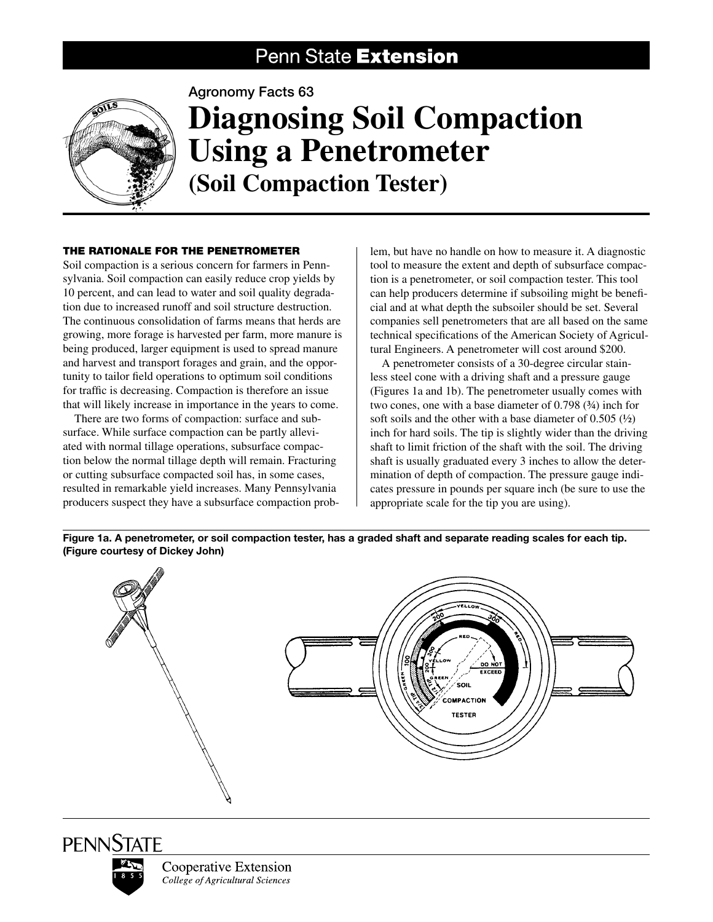## Penn State Extension



Agronomy Facts 63

# **Diagnosing Soil Compaction Using a Penetrometer (Soil Compaction Tester)**

### The Rationale for the Penetrometer

Soil compaction is a serious concern for farmers in Pennsylvania. Soil compaction can easily reduce crop yields by 10 percent, and can lead to water and soil quality degradation due to increased runoff and soil structure destruction. The continuous consolidation of farms means that herds are growing, more forage is harvested per farm, more manure is being produced, larger equipment is used to spread manure and harvest and transport forages and grain, and the opportunity to tailor field operations to optimum soil conditions for traffic is decreasing. Compaction is therefore an issue that will likely increase in importance in the years to come.

There are two forms of compaction: surface and subsurface. While surface compaction can be partly alleviated with normal tillage operations, subsurface compaction below the normal tillage depth will remain. Fracturing or cutting subsurface compacted soil has, in some cases, resulted in remarkable yield increases. Many Pennsylvania producers suspect they have a subsurface compaction prob-

lem, but have no handle on how to measure it. A diagnostic tool to measure the extent and depth of subsurface compaction is a penetrometer, or soil compaction tester. This tool can help producers determine if subsoiling might be beneficial and at what depth the subsoiler should be set. Several companies sell penetrometers that are all based on the same technical specifications of the American Society of Agricultural Engineers. A penetrometer will cost around \$200.

A penetrometer consists of a 30-degree circular stainless steel cone with a driving shaft and a pressure gauge (Figures 1a and 1b). The penetrometer usually comes with two cones, one with a base diameter of 0.798 (¾) inch for soft soils and the other with a base diameter of  $0.505 \frac{1}{2}$ inch for hard soils. The tip is slightly wider than the driving shaft to limit friction of the shaft with the soil. The driving shaft is usually graduated every 3 inches to allow the determination of depth of compaction. The pressure gauge indicates pressure in pounds per square inch (be sure to use the appropriate scale for the tip you are using).

Figure 1a. A penetrometer, or soil compaction tester, has a graded shaft and separate reading scales for each tip. (Figure courtesy of Dickey John)



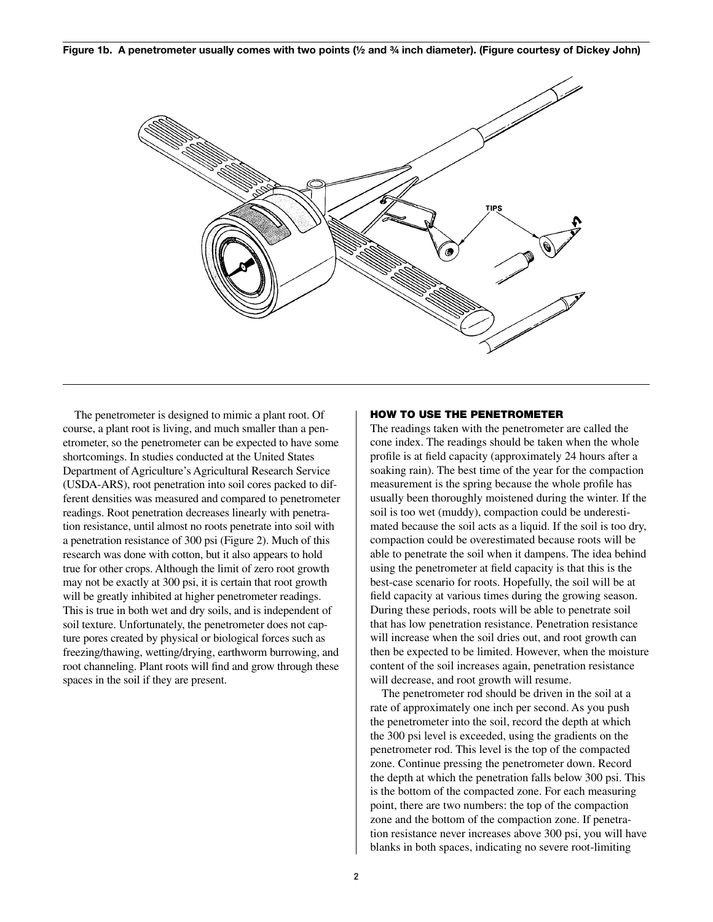Figure 1b. A penetrometer usually comes with two points (½ and ¾ inch diameter). (Figure courtesy of Dickey John)



The penetrometer is designed to mimic a plant root. Of course, a plant root is living, and much smaller than a penetrometer, so the penetrometer can be expected to have some shortcomings. In studies conducted at the United States Department of Agriculture's Agricultural Research Service (USDA-ARS), root penetration into soil cores packed to different densities was measured and compared to penetrometer readings. Root penetration decreases linearly with penetration resistance, until almost no roots penetrate into soil with a penetration resistance of 300 psi (Figure 2). Much of this research was done with cotton, but it also appears to hold true for other crops. Although the limit of zero root growth may not be exactly at 300 psi, it is certain that root growth will be greatly inhibited at higher penetrometer readings. This is true in both wet and dry soils, and is independent of soil texture. Unfortunately, the penetrometer does not capture pores created by physical or biological forces such as freezing/thawing, wetting/drying, earthworm burrowing, and root channeling. Plant roots will find and grow through these spaces in the soil if they are present.

#### How to use the penetrometer

The readings taken with the penetrometer are called the cone index. The readings should be taken when the whole profile is at field capacity (approximately 24 hours after a soaking rain). The best time of the year for the compaction measurement is the spring because the whole profile has usually been thoroughly moistened during the winter. If the soil is too wet (muddy), compaction could be underestimated because the soil acts as a liquid. If the soil is too dry, compaction could be overestimated because roots will be able to penetrate the soil when it dampens. The idea behind using the penetrometer at field capacity is that this is the best-case scenario for roots. Hopefully, the soil will be at field capacity at various times during the growing season. During these periods, roots will be able to penetrate soil that has low penetration resistance. Penetration resistance will increase when the soil dries out, and root growth can then be expected to be limited. However, when the moisture content of the soil increases again, penetration resistance will decrease, and root growth will resume.

The penetrometer rod should be driven in the soil at a rate of approximately one inch per second. As you push the penetrometer into the soil, record the depth at which the 300 psi level is exceeded, using the gradients on the penetrometer rod. This level is the top of the compacted zone. Continue pressing the penetrometer down. Record the depth at which the penetration falls below 300 psi. This is the bottom of the compacted zone. For each measuring point, there are two numbers: the top of the compaction zone and the bottom of the compaction zone. If penetration resistance never increases above 300 psi, you will have blanks in both spaces, indicating no severe root-limiting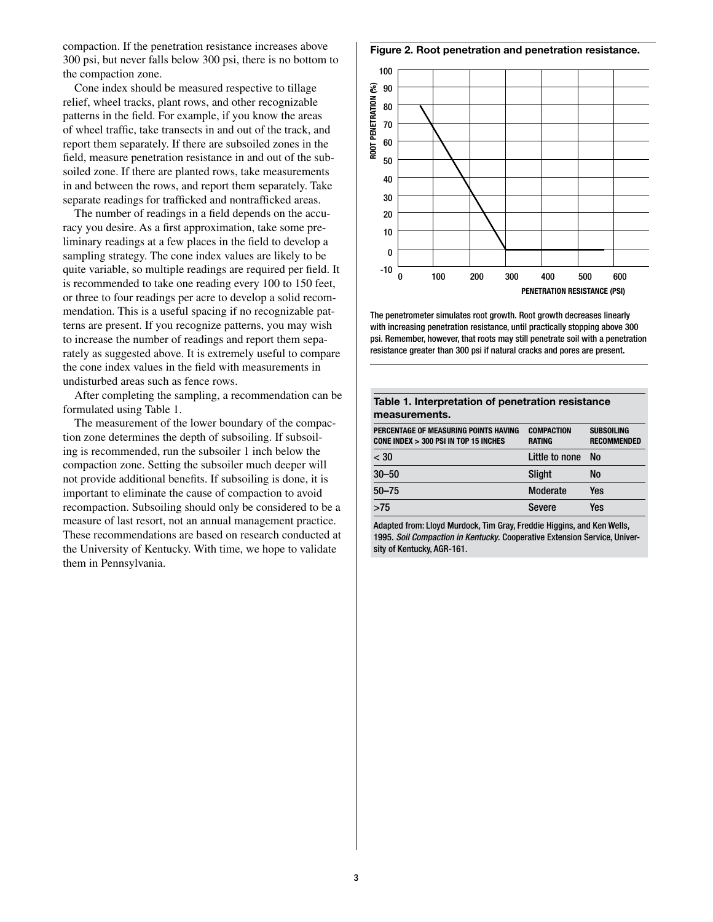compaction. If the penetration resistance increases above 300 psi, but never falls below 300 psi, there is no bottom to the compaction zone.

Cone index should be measured respective to tillage relief, wheel tracks, plant rows, and other recognizable patterns in the field. For example, if you know the areas of wheel traffic, take transects in and out of the track, and report them separately. If there are subsoiled zones in the field, measure penetration resistance in and out of the subsoiled zone. If there are planted rows, take measurements in and between the rows, and report them separately. Take separate readings for trafficked and nontrafficked areas.

The number of readings in a field depends on the accuracy you desire. As a first approximation, take some preliminary readings at a few places in the field to develop a sampling strategy. The cone index values are likely to be quite variable, so multiple readings are required per field. It is recommended to take one reading every 100 to 150 feet, or three to four readings per acre to develop a solid recommendation. This is a useful spacing if no recognizable patterns are present. If you recognize patterns, you may wish to increase the number of readings and report them separately as suggested above. It is extremely useful to compare the cone index values in the field with measurements in undisturbed areas such as fence rows.

After completing the sampling, a recommendation can be formulated using Table 1.

The measurement of the lower boundary of the compaction zone determines the depth of subsoiling. If subsoiling is recommended, run the subsoiler 1 inch below the compaction zone. Setting the subsoiler much deeper will not provide additional benefits. If subsoiling is done, it is important to eliminate the cause of compaction to avoid recompaction. Subsoiling should only be considered to be a measure of last resort, not an annual management practice. These recommendations are based on research conducted at the University of Kentucky. With time, we hope to validate them in Pennsylvania.

Figure 2. Root penetration and penetration resistance.



The penetrometer simulates root growth. Root growth decreases linearly with increasing penetration resistance, until practically stopping above 300 psi. Remember, however, that roots may still penetrate soil with a penetration resistance greater than 300 psi if natural cracks and pores are present.

| Table 1. Interpretation of penetration resistance<br>measurements.             |                                    |                                         |
|--------------------------------------------------------------------------------|------------------------------------|-----------------------------------------|
| PERCENTAGE OF MEASURING POINTS HAVING<br>CONE INDEX > 300 PSI IN TOP 15 INCHES | <b>COMPACTION</b><br><b>RATING</b> | <b>SUBSOILING</b><br><b>RECOMMENDED</b> |
| $<$ 30                                                                         | Little to none                     | No.                                     |
| $30 - 50$                                                                      | <b>Slight</b>                      | <b>No</b>                               |
| $50 - 75$                                                                      | Moderate                           | Yes                                     |
| >75                                                                            | Severe                             | Yes                                     |

Adapted from: Lloyd Murdock, Tim Gray, Freddie Higgins, and Ken Wells, 1995. *Soil Compaction in Kentucky*. Cooperative Extension Service, University of Kentucky, AGR-161.